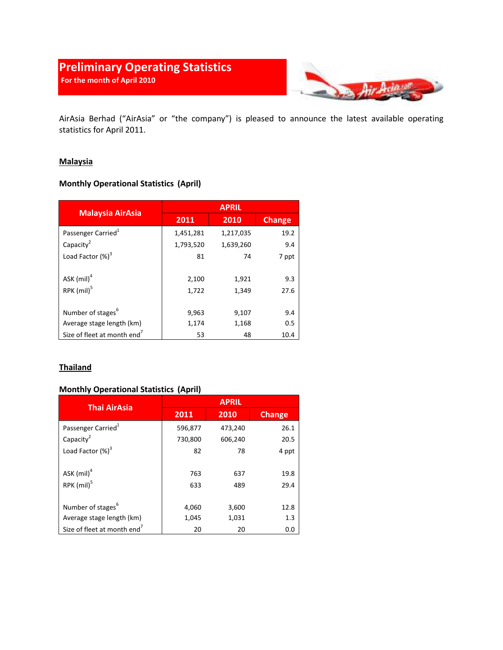# Preliminary Operating Statistics For the month of April 2010



AirAsia Berhad ("AirAsia" or "the company") is pleased to announce the latest available operating statistics for April 2011.

### **Malaysia**

## Monthly Operational Statistics (April)

| <b>Malaysia AirAsia</b>                 | <b>APRIL</b> |           |               |
|-----------------------------------------|--------------|-----------|---------------|
|                                         | 2011         | 2010      | <b>Change</b> |
| Passenger Carried <sup>1</sup>          | 1,451,281    | 1,217,035 | 19.2          |
| Capacity <sup>2</sup>                   | 1,793,520    | 1,639,260 | 9.4           |
| Load Factor $(\%)^3$                    | 81           | 74        | 7 ppt         |
|                                         |              |           |               |
| ASK $(mil)^4$                           | 2,100        | 1,921     | 9.3           |
| RPK (mil) <sup>5</sup>                  | 1,722        | 1,349     | 27.6          |
|                                         |              |           |               |
| Number of stages <sup>6</sup>           | 9,963        | 9,107     | 9.4           |
| Average stage length (km)               | 1,174        | 1,168     | 0.5           |
| Size of fleet at month end <sup>7</sup> | 53           | 48        | 10.4          |

### **Thailand**

### Monthly Operational Statistics (April)

| <b>Thai AirAsia</b>                     | <b>APRIL</b> |            |               |
|-----------------------------------------|--------------|------------|---------------|
|                                         | 2011         | 2010       | <b>Change</b> |
| Passenger Carried <sup>1</sup>          | 596,877      | 473,240    | 26.1          |
| Capacity <sup>2</sup>                   | 730,800      | 606,240    | 20.5          |
| Load Factor $(\%)^3$                    | 82           | 78         | 4 ppt         |
| ASK $(mil)^4$<br>RPK (mil) <sup>5</sup> | 763<br>633   | 637<br>489 | 19.8<br>29.4  |
| Number of stages <sup>6</sup>           | 4,060        | 3,600      | 12.8          |
| Average stage length (km)               | 1,045        | 1,031      | 1.3           |
| Size of fleet at month end <sup>7</sup> | 20           | 20         | 0.0           |